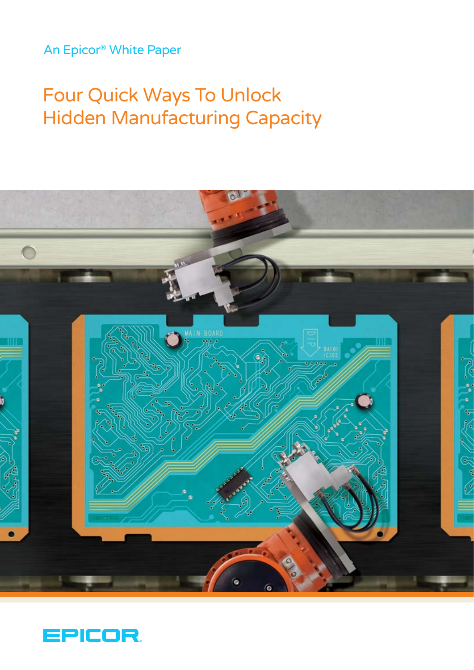# An Epicor® White Paper

# Four Quick Ways To Unlock Hidden Manufacturing Capacity



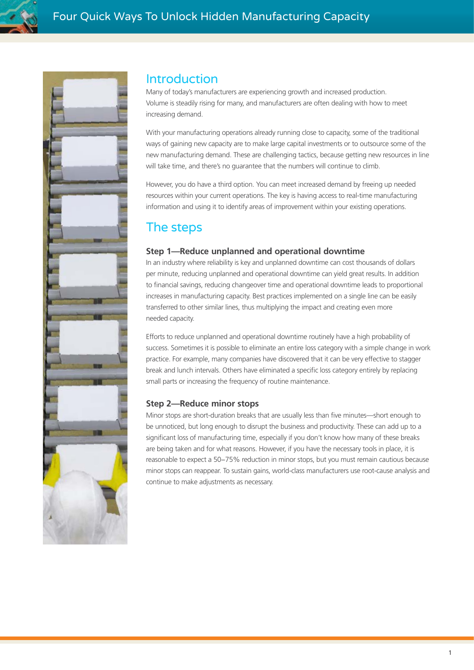



## Introduction

Many of today's manufacturers are experiencing growth and increased production. Volume is steadily rising for many, and manufacturers are often dealing with how to meet increasing demand.

With your manufacturing operations already running close to capacity, some of the traditional ways of gaining new capacity are to make large capital investments or to outsource some of the new manufacturing demand. These are challenging tactics, because getting new resources in line will take time, and there's no guarantee that the numbers will continue to climb.

However, you do have a third option. You can meet increased demand by freeing up needed resources within your current operations. The key is having access to real-time manufacturing information and using it to identify areas of improvement within your existing operations.

# The steps

#### **Step 1—Reduce unplanned and operational downtime**

In an industry where reliability is key and unplanned downtime can cost thousands of dollars per minute, reducing unplanned and operational downtime can yield great results. In addition to financial savings, reducing changeover time and operational downtime leads to proportional increases in manufacturing capacity. Best practices implemented on a single line can be easily transferred to other similar lines, thus multiplying the impact and creating even more needed capacity.

Efforts to reduce unplanned and operational downtime routinely have a high probability of success. Sometimes it is possible to eliminate an entire loss category with a simple change in work practice. For example, many companies have discovered that it can be very effective to stagger break and lunch intervals. Others have eliminated a specific loss category entirely by replacing small parts or increasing the frequency of routine maintenance.

#### **Step 2—Reduce minor stops**

Minor stops are short-duration breaks that are usually less than five minutes—short enough to be unnoticed, but long enough to disrupt the business and productivity. These can add up to a significant loss of manufacturing time, especially if you don't know how many of these breaks are being taken and for what reasons. However, if you have the necessary tools in place, it is reasonable to expect a 50−75% reduction in minor stops, but you must remain cautious because minor stops can reappear. To sustain gains, world-class manufacturers use root-cause analysis and continue to make adjustments as necessary.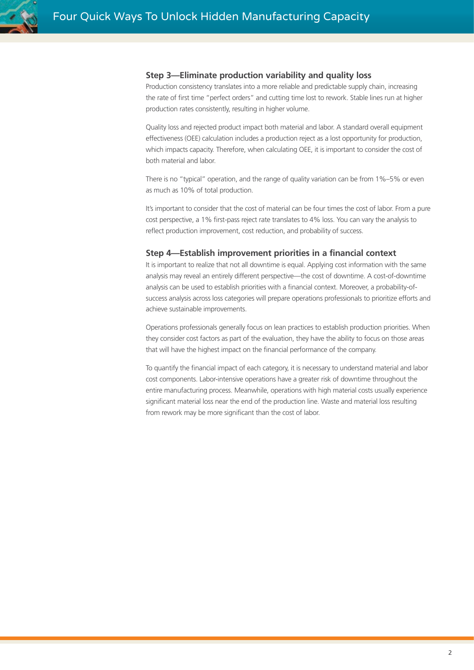#### **Step 3—Eliminate production variability and quality loss**

Production consistency translates into a more reliable and predictable supply chain, increasing the rate of first time "perfect orders" and cutting time lost to rework. Stable lines run at higher production rates consistently, resulting in higher volume.

Quality loss and rejected product impact both material and labor. A standard overall equipment effectiveness (OEE) calculation includes a production reject as a lost opportunity for production, which impacts capacity. Therefore, when calculating OEE, it is important to consider the cost of both material and labor.

There is no "typical" operation, and the range of quality variation can be from 1%–5% or even as much as 10% of total production.

It's important to consider that the cost of material can be four times the cost of labor. From a pure cost perspective, a 1% first-pass reject rate translates to 4% loss. You can vary the analysis to reflect production improvement, cost reduction, and probability of success.

#### **Step 4—Establish improvement priorities in a financial context**

It is important to realize that not all downtime is equal. Applying cost information with the same analysis may reveal an entirely different perspective—the cost of downtime. A cost-of-downtime analysis can be used to establish priorities with a financial context. Moreover, a probability-ofsuccess analysis across loss categories will prepare operations professionals to prioritize efforts and achieve sustainable improvements.

Operations professionals generally focus on lean practices to establish production priorities. When they consider cost factors as part of the evaluation, they have the ability to focus on those areas that will have the highest impact on the financial performance of the company.

To quantify the financial impact of each category, it is necessary to understand material and labor cost components. Labor-intensive operations have a greater risk of downtime throughout the entire manufacturing process. Meanwhile, operations with high material costs usually experience significant material loss near the end of the production line. Waste and material loss resulting from rework may be more significant than the cost of labor.